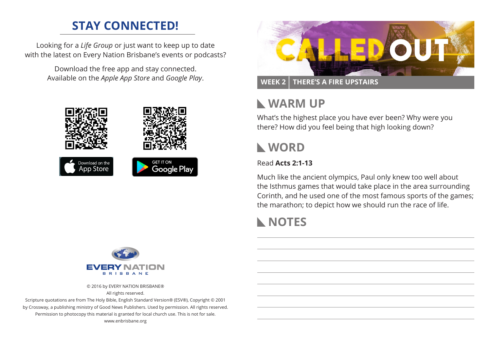# **STAY CONNECTED!**

Looking for a *Life Group* or just want to keep up to date with the latest on Every Nation Brisbane's events or podcasts?

> Download the free app and stay connected. Available on the *Apple App Store* and *Google Play*.





### **WEEK 2 THERE'S A FIRE UPSTAIRS**

## **WARM UP**

What's the highest place you have ever been? Why were you there? How did you feel being that high looking down?

## **WORD**

#### Read **Acts 2:1-13**

Much like the ancient olympics, Paul only knew too well about the Isthmus games that would take place in the area surrounding Corinth, and he used one of the most famous sports of the games; the marathon; to depict how we should run the race of life.

# **NOTES**



© 2016 by EVERY NATION BRISBANE®

All rights reserved.

Scripture quotations are from The Holy Bible, English Standard Version® (ESV®), Copyright © 2001 by Crossway, a publishing ministry of Good News Publishers. Used by permission. All rights reserved. Permission to photocopy this material is granted for local church use. This is not for sale. www.enbrisbane.org